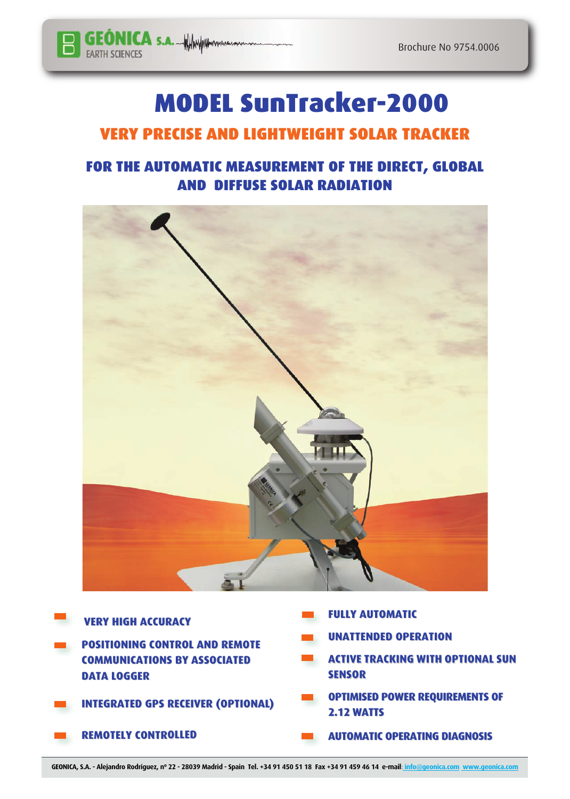

## **MODEL SunTracker-2000**

## **VERY PRECISE AND LIGHTWEIGHT SOLAR TRACKER**

## **FOR THE AUTOMATIC MEASUREMENT OF THE DIRECT, GLOBAL AND DIFFUSE SOLAR RADIATION**



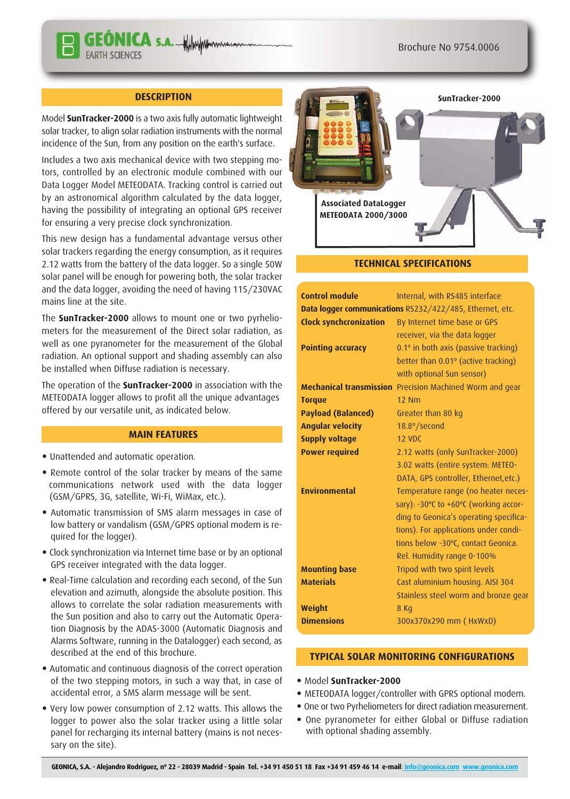#### **DESCRIPTION**

**ÓNICA** S.A. WWW.

Model **SunTracker-2000** is a two axis fully automatic lightweight solar tracker, to align solar radiation instruments with the normal incidence of the Sun, from any position on the earth's surface.

Includes a two axis mechanical device with two stepping motors, controlled by an electronic module combined with our Data Logger Model METEODATA. Tracking control is carried out by an astronomical algorithm calculated by the data logger, having the possibility of integrating an optional GPS receiver for ensuring a very precise clock synchronization.

This new design has a fundamental advantage versus other solar trackers regarding the energy consumption, as it requires 2.12 watts from the battery of the data logger. So a single 50W solar panel will be enough for powering both, the solar tracker and the data logger, avoiding the need of having 115/230VAC mains line at the site.

The **SunTracker-2000** allows to mount one or two pyrheliometers for the measurement of the Direct solar radiation, as well as one pyranometer for the measurement of the Global radiation. An optional support and shading assembly can also be installed when Diffuse radiation is necessary.

The operation of the **SunTracker-2000** in association with the METEODATA logger allows to profit all the unique advantages offered by our versatile unit, as indicated below.

#### **MAIN FEATURES**

- Unattended and automatic operation.
- Remote control of the solar tracker by means of the same communications network used with the data logger (GSM/GPRS, 3G, satellite, Wi-Fi, WiMax, etc.).
- Automatic transmission of SMS alarm messages in case of low battery or vandalism (GSM/GPRS optional modem is required for the logger).
- Clock synchronization via Internet time base or by an optional GPS receiver integrated with the data logger.
- Real-Time calculation and recording each second, of the Sun elevation and azimuth, alongside the absolute position. This allows to correlate the solar radiation measurements with the Sun position and also to carry out the Automatic Operation Diagnosis by the ADAS-3000 (Automatic Diagnosis and Alarms Software, running in the Datalogger) each second, as described at the end of this brochure.
- Automatic and continuous diagnosis of the correct operation of the two stepping motors, in such a way that, in case of accidental error, a SMS alarm message will be sent.
- Very low power consumption of 2.12 watts. This allows the logger to power also the solar tracker using a little solar panel for recharging its internal battery (mains is not necessary on the site).



#### **TECHNICAL SPECIFICATIONS**

| <b>Control module</b>                                    | Internal, with RS485 interface                           |
|----------------------------------------------------------|----------------------------------------------------------|
| Data logger communications RS232/422/485, Ethernet, etc. |                                                          |
| <b>Clock synchcronization</b>                            | By Internet time base or GPS                             |
|                                                          | receiver, via the data logger                            |
| <b>Pointing accuracy</b>                                 | 0.1° in both axis (passive tracking)                     |
|                                                          | better than 0.01° (active tracking)                      |
|                                                          | with optional Sun sensor)                                |
|                                                          | Mechanical transmission Precision Machined Worm and gear |
| <b>Torque</b>                                            | <b>12 Nm</b>                                             |
| <b>Payload (Balanced)</b>                                | Greater than 80 kg                                       |
| <b>Angular velocity</b>                                  | 18.8°/second                                             |
| <b>Supply voltage</b>                                    | 12 VDC                                                   |
| <b>Power required</b>                                    | 2.12 watts (only SunTracker-2000)                        |
|                                                          | 3.02 watts (entire system: METEO-                        |
|                                                          | DATA, GPS controller, Ethernet, etc.)                    |
| <b>Environmental</b>                                     | Temperature range (no heater neces-                      |
|                                                          | sary): -30°C to +60°C (working accor-                    |
|                                                          | ding to Geonica's operating specifica-                   |
|                                                          | tions). For applications under condi-                    |
|                                                          | tions below -30°C, contact Geonica.                      |
|                                                          | Rel. Humidity range 0-100%                               |
| <b>Mounting base</b>                                     | Tripod with two spirit levels                            |
| <b>Materials</b>                                         | Cast aluminium housing. AISI 304                         |
|                                                          | Stainless steel worm and bronze gear                     |
| <b>Weight</b>                                            | 8 Kg                                                     |
| <b>Dimensions</b>                                        | 300x370x290 mm (HxWxD)                                   |

#### **TYPICAL SOLAR MONITORING CONFIGURATIONS**

- Model **SunTracker-2000**
- METEODATA logger/controller with GPRS optional modem.
- One or two Pyrheliometers for direct radiation measurement.
- One pyranometer for either Global or Diffuse radiation with optional shading assembly.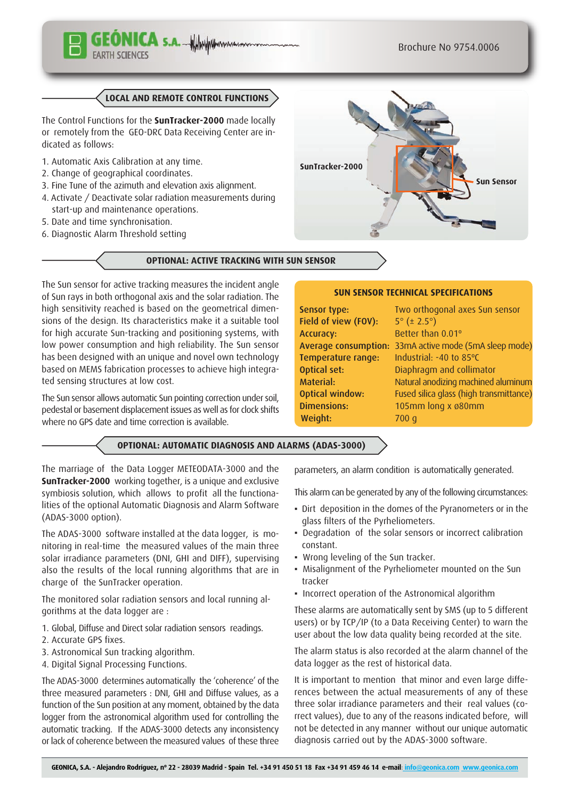# NICA S.A. Whyphymum

## **LOCAL AND REMOTE CONTROL FUNCTIONS**

The Control Functions for the **SunTracker-2000** made locally or remotely from the GEO-DRC Data Receiving Center are indicated as follows:

- 1. Automatic Axis Calibration at any time.
- 2. Change of geographical coordinates.
- 3. Fine Tune of the azimuth and elevation axis alignment.
- 4. Activate / Deactivate solar radiation measurements during start-up and maintenance operations.
- 5. Date and time synchronisation.
- 6. Diagnostic Alarm Threshold setting

## **OPTIONAL: ACTIVE TRACKING WITH SUN SENSOR**

The Sun sensor for active tracking measures the incident angle of Sun rays in both orthogonal axis and the solar radiation. The high sensitivity reached is based on the geometrical dimensions of the design. Its characteristics make it a suitable tool for high accurate Sun-tracking and positioning systems, with low power consumption and high reliability. The Sun sensor has been designed with an unique and novel own technology based on MEMS fabrication processes to achieve high integrated sensing structures at low cost.

The Sun sensor allows automatic Sun pointing correction under soil, pedestal or basement displacement issues as well as for clock shifts where no GPS date and time correction is available.

## **OPTIONAL: AUTOMATIC DIAGNOSIS AND ALARMS (ADAS-3000)**

The marriage of the Data Logger METEODATA-3000 and the **SunTracker-2000** working together, is a unique and exclusive symbiosis solution, which allows to profit all the functionalities of the optional Automatic Diagnosis and Alarm Software (ADAS-3000 option).

The ADAS-3000 software installed at the data logger, is monitoring in real-time the measured values of the main three solar irradiance parameters (DNI, GHI and DIFF), supervising also the results of the local running algorithms that are in charge of the SunTracker operation.

The monitored solar radiation sensors and local running algorithms at the data logger are :

- 1. Global, Diffuse and Direct solar radiation sensors readings.
- 2. Accurate GPS fixes.
- 3. Astronomical Sun tracking algorithm.
- 4. Digital Signal Processing Functions.

The ADAS-3000 determines automatically the 'coherence' of the three measured parameters : DNI, GHI and Diffuse values, as a function of the Sun position at any moment, obtained by the data logger from the astronomical algorithm used for controlling the automatic tracking. If the ADAS-3000 detects any inconsistency or lack of coherence between the measured values of these three

parameters, an alarm condition is automatically generated.

This alarm can be generated by any of the following circumstances:

- Dirt deposition in the domes of the Pyranometers or in the glass filters of the Pyrheliometers.
- Degradation of the solar sensors or incorrect calibration constant.
- Wrong leveling of the Sun tracker.

Field of view (FOV):  $5^\circ$  ( $\pm$  2.5°) Accuracy: Better than 0.01°

Weight: 700 g

Temperature range: Industrial: -40 to 85ºC **Optical set:** Diaphragm and collimator

Dimensions: 105mm long x ø80mm

- Misalignment of the Pyrheliometer mounted on the Sun tracker
- Incorrect operation of the Astronomical algorithm

These alarms are automatically sent by SMS (up to 5 different users) or by TCP/IP (to a Data Receiving Center) to warn the user about the low data quality being recorded at the site.

The alarm status is also recorded at the alarm channel of the data logger as the rest of historical data.

It is important to mention that minor and even large differences between the actual measurements of any of these three solar irradiance parameters and their real values (correct values), due to any of the reasons indicated before, will not be detected in any manner without our unique automatic diagnosis carried out by the ADAS-3000 software.



**SUN SENSOR TECHNICAL SPECIFICATIONS** Sensor type: Two orthogonal axes Sun sensor

Average consumption: 33mA active mode (5mA sleep mode)

Material: Natural anodizing machined aluminum Optical window: Fused silica glass (high transmittance)